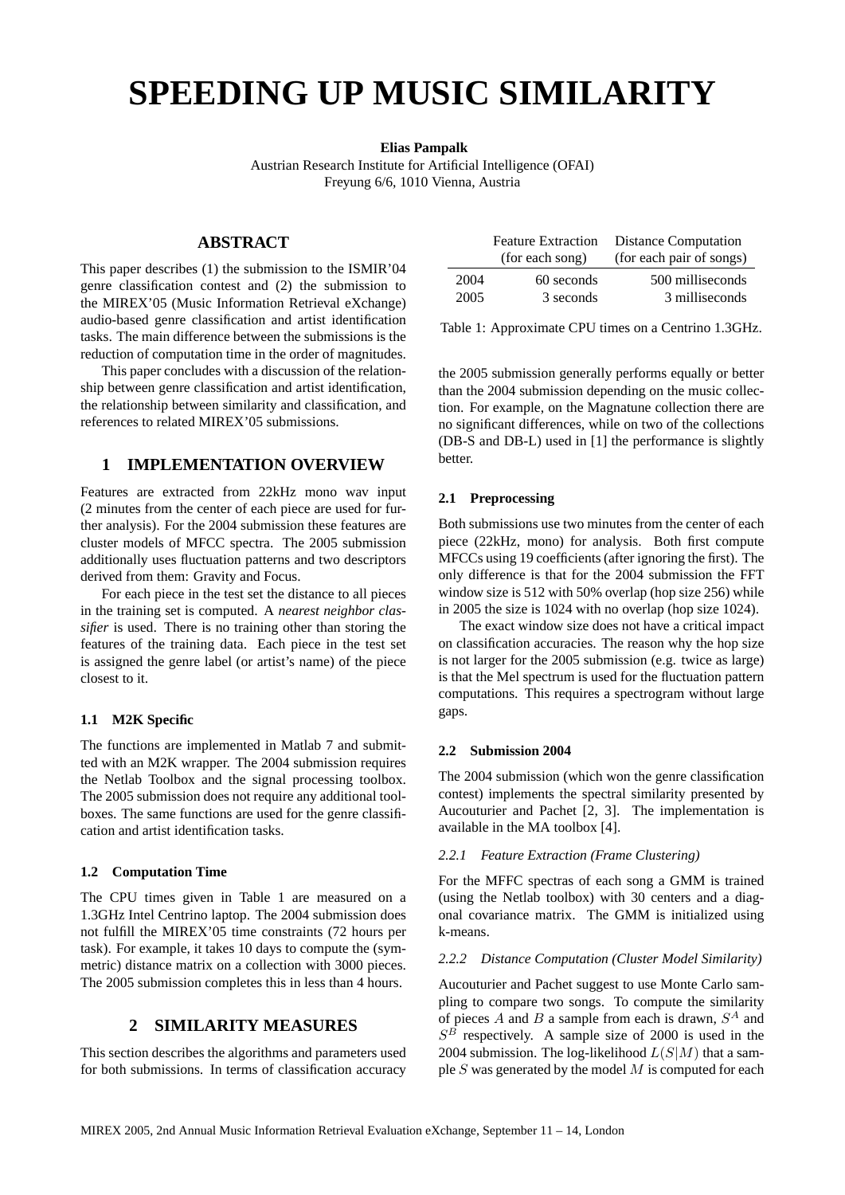# **SPEEDING UP MUSIC SIMILARITY**

**Elias Pampalk**

Austrian Research Institute for Artificial Intelligence (OFAI) Freyung 6/6, 1010 Vienna, Austria

# **ABSTRACT**

This paper describes (1) the submission to the ISMIR'04 genre classification contest and (2) the submission to the MIREX'05 (Music Information Retrieval eXchange) audio-based genre classification and artist identification tasks. The main difference between the submissions is the reduction of computation time in the order of magnitudes.

This paper concludes with a discussion of the relationship between genre classification and artist identification, the relationship between similarity and classification, and references to related MIREX'05 submissions.

## **1 IMPLEMENTATION OVERVIEW**

Features are extracted from 22kHz mono wav input (2 minutes from the center of each piece are used for further analysis). For the 2004 submission these features are cluster models of MFCC spectra. The 2005 submission additionally uses fluctuation patterns and two descriptors derived from them: Gravity and Focus.

For each piece in the test set the distance to all pieces in the training set is computed. A *nearest neighbor classifier* is used. There is no training other than storing the features of the training data. Each piece in the test set is assigned the genre label (or artist's name) of the piece closest to it.

#### **1.1 M2K Specific**

The functions are implemented in Matlab 7 and submitted with an M2K wrapper. The 2004 submission requires the Netlab Toolbox and the signal processing toolbox. The 2005 submission does not require any additional toolboxes. The same functions are used for the genre classification and artist identification tasks.

#### **1.2 Computation Time**

The CPU times given in Table 1 are measured on a 1.3GHz Intel Centrino laptop. The 2004 submission does not fulfill the MIREX'05 time constraints (72 hours per task). For example, it takes 10 days to compute the (symmetric) distance matrix on a collection with 3000 pieces. The 2005 submission completes this in less than 4 hours.

## **2 SIMILARITY MEASURES**

This section describes the algorithms and parameters used for both submissions. In terms of classification accuracy

|      | <b>Feature Extraction</b><br>(for each song) | Distance Computation<br>(for each pair of songs) |
|------|----------------------------------------------|--------------------------------------------------|
| 2004 | 60 seconds                                   | 500 milliseconds                                 |
| 2005 | 3 seconds                                    | 3 milliseconds                                   |

Table 1: Approximate CPU times on a Centrino 1.3GHz.

the 2005 submission generally performs equally or better than the 2004 submission depending on the music collection. For example, on the Magnatune collection there are no significant differences, while on two of the collections (DB-S and DB-L) used in [1] the performance is slightly better.

## **2.1 Preprocessing**

Both submissions use two minutes from the center of each piece (22kHz, mono) for analysis. Both first compute MFCCs using 19 coefficients (after ignoring the first). The only difference is that for the 2004 submission the FFT window size is 512 with 50% overlap (hop size 256) while in 2005 the size is 1024 with no overlap (hop size 1024).

The exact window size does not have a critical impact on classification accuracies. The reason why the hop size is not larger for the 2005 submission (e.g. twice as large) is that the Mel spectrum is used for the fluctuation pattern computations. This requires a spectrogram without large gaps.

#### **2.2 Submission 2004**

The 2004 submission (which won the genre classification contest) implements the spectral similarity presented by Aucouturier and Pachet [2, 3]. The implementation is available in the MA toolbox [4].

#### *2.2.1 Feature Extraction (Frame Clustering)*

For the MFFC spectras of each song a GMM is trained (using the Netlab toolbox) with 30 centers and a diagonal covariance matrix. The GMM is initialized using k-means.

#### *2.2.2 Distance Computation (Cluster Model Similarity)*

Aucouturier and Pachet suggest to use Monte Carlo sampling to compare two songs. To compute the similarity of pieces  $A$  and  $B$  a sample from each is drawn,  $S<sup>A</sup>$  and  $S<sup>B</sup>$  respectively. A sample size of 2000 is used in the 2004 submission. The log-likelihood  $L(S|M)$  that a sample  $S$  was generated by the model  $M$  is computed for each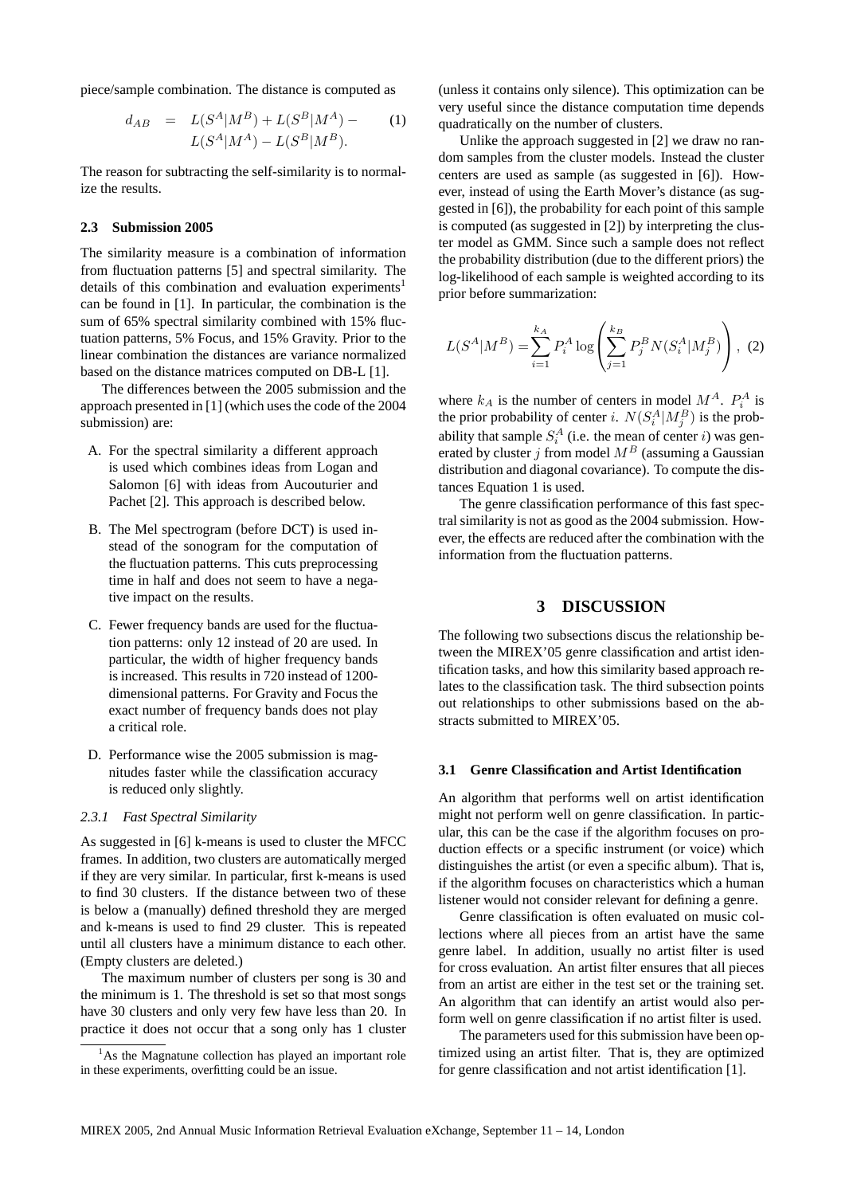piece/sample combination. The distance is computed as

$$
d_{AB} = L(S^A|M^B) + L(S^B|M^A) - L(S^A|M^A) - L(S^B|M^B).
$$
 (1)

The reason for subtracting the self-similarity is to normalize the results.

## **2.3 Submission 2005**

The similarity measure is a combination of information from fluctuation patterns [5] and spectral similarity. The details of this combination and evaluation experiments<sup>1</sup> can be found in [1]. In particular, the combination is the sum of 65% spectral similarity combined with 15% fluctuation patterns, 5% Focus, and 15% Gravity. Prior to the linear combination the distances are variance normalized based on the distance matrices computed on DB-L [1].

The differences between the 2005 submission and the approach presented in [1] (which uses the code of the 2004 submission) are:

- A. For the spectral similarity a different approach is used which combines ideas from Logan and Salomon [6] with ideas from Aucouturier and Pachet [2]. This approach is described below.
- B. The Mel spectrogram (before DCT) is used instead of the sonogram for the computation of the fluctuation patterns. This cuts preprocessing time in half and does not seem to have a negative impact on the results.
- C. Fewer frequency bands are used for the fluctuation patterns: only 12 instead of 20 are used. In particular, the width of higher frequency bands is increased. This results in 720 instead of 1200 dimensional patterns. For Gravity and Focus the exact number of frequency bands does not play a critical role.
- D. Performance wise the 2005 submission is magnitudes faster while the classification accuracy is reduced only slightly.

#### *2.3.1 Fast Spectral Similarity*

As suggested in [6] k-means is used to cluster the MFCC frames. In addition, two clusters are automatically merged if they are very similar. In particular, first k-means is used to find 30 clusters. If the distance between two of these is below a (manually) defined threshold they are merged and k-means is used to find 29 cluster. This is repeated until all clusters have a minimum distance to each other. (Empty clusters are deleted.)

The maximum number of clusters per song is 30 and the minimum is 1. The threshold is set so that most songs have 30 clusters and only very few have less than 20. In practice it does not occur that a song only has 1 cluster

(unless it contains only silence). This optimization can be very useful since the distance computation time depends quadratically on the number of clusters.

Unlike the approach suggested in [2] we draw no random samples from the cluster models. Instead the cluster centers are used as sample (as suggested in [6]). However, instead of using the Earth Mover's distance (as suggested in [6]), the probability for each point of this sample is computed (as suggested in [2]) by interpreting the cluster model as GMM. Since such a sample does not reflect the probability distribution (due to the different priors) the log-likelihood of each sample is weighted according to its prior before summarization:

$$
L(S^A|M^B) = \sum_{i=1}^{k_A} P_i^A \log \left( \sum_{j=1}^{k_B} P_j^B N(S_i^A|M_j^B) \right), \tag{2}
$$

where  $k_A$  is the number of centers in model  $M^A$ .  $P_i^A$  is the prior probability of center *i*.  $N(S_i^A|M_j^B)$  is the probability that sample  $S_i^A$  (i.e. the mean of center i) was generated by cluster j from model  $M^B$  (assuming a Gaussian distribution and diagonal covariance). To compute the distances Equation 1 is used.

The genre classification performance of this fast spectral similarity is not as good as the 2004 submission. However, the effects are reduced after the combination with the information from the fluctuation patterns.

## **3 DISCUSSION**

The following two subsections discus the relationship between the MIREX'05 genre classification and artist identification tasks, and how this similarity based approach relates to the classification task. The third subsection points out relationships to other submissions based on the abstracts submitted to MIREX'05.

#### **3.1 Genre Classification and Artist Identification**

An algorithm that performs well on artist identification might not perform well on genre classification. In particular, this can be the case if the algorithm focuses on production effects or a specific instrument (or voice) which distinguishes the artist (or even a specific album). That is, if the algorithm focuses on characteristics which a human listener would not consider relevant for defining a genre.

Genre classification is often evaluated on music collections where all pieces from an artist have the same genre label. In addition, usually no artist filter is used for cross evaluation. An artist filter ensures that all pieces from an artist are either in the test set or the training set. An algorithm that can identify an artist would also perform well on genre classification if no artist filter is used.

The parameters used for this submission have been optimized using an artist filter. That is, they are optimized for genre classification and not artist identification [1].

 $<sup>1</sup>$ As the Magnatune collection has played an important role</sup> in these experiments, overfitting could be an issue.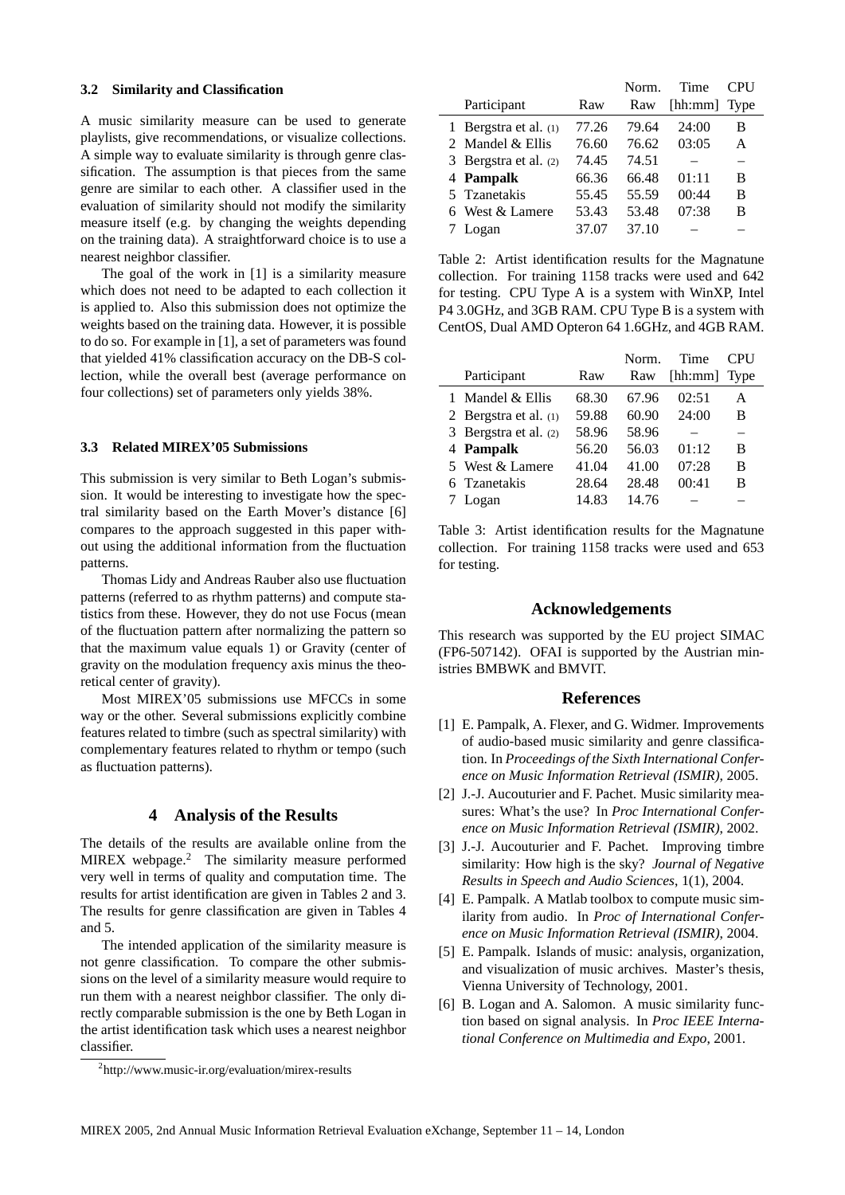#### **3.2 Similarity and Classification**

A music similarity measure can be used to generate playlists, give recommendations, or visualize collections. A simple way to evaluate similarity is through genre classification. The assumption is that pieces from the same genre are similar to each other. A classifier used in the evaluation of similarity should not modify the similarity measure itself (e.g. by changing the weights depending on the training data). A straightforward choice is to use a nearest neighbor classifier.

The goal of the work in [1] is a similarity measure which does not need to be adapted to each collection it is applied to. Also this submission does not optimize the weights based on the training data. However, it is possible to do so. For example in [1], a set of parameters was found that yielded 41% classification accuracy on the DB-S collection, while the overall best (average performance on four collections) set of parameters only yields 38%.

## **3.3 Related MIREX'05 Submissions**

This submission is very similar to Beth Logan's submission. It would be interesting to investigate how the spectral similarity based on the Earth Mover's distance [6] compares to the approach suggested in this paper without using the additional information from the fluctuation patterns.

Thomas Lidy and Andreas Rauber also use fluctuation patterns (referred to as rhythm patterns) and compute statistics from these. However, they do not use Focus (mean of the fluctuation pattern after normalizing the pattern so that the maximum value equals 1) or Gravity (center of gravity on the modulation frequency axis minus the theoretical center of gravity).

Most MIREX'05 submissions use MFCCs in some way or the other. Several submissions explicitly combine features related to timbre (such as spectral similarity) with complementary features related to rhythm or tempo (such as fluctuation patterns).

## **4 Analysis of the Results**

The details of the results are available online from the MIREX webpage.<sup>2</sup> The similarity measure performed very well in terms of quality and computation time. The results for artist identification are given in Tables 2 and 3. The results for genre classification are given in Tables 4 and 5.

The intended application of the similarity measure is not genre classification. To compare the other submissions on the level of a similarity measure would require to run them with a nearest neighbor classifier. The only directly comparable submission is the one by Beth Logan in the artist identification task which uses a nearest neighbor classifier.

Table 2: Artist identification results for the Magnatune collection. For training 1158 tracks were used and 642 for testing. CPU Type A is a system with WinXP, Intel P4 3.0GHz, and 3GB RAM. CPU Type B is a system with CentOS, Dual AMD Opteron 64 1.6GHz, and 4GB RAM.

|                         |       | Norm. | Time         | <b>CPU</b> |
|-------------------------|-------|-------|--------------|------------|
| Participant             | Raw   | Raw   | [hh:mm] Type |            |
| Mandel & Ellis          | 68.30 | 67.96 | 02:51        | A          |
| 2 Bergstra et al. $(1)$ | 59.88 | 60.90 | 24:00        | B          |
| 3 Bergstra et al. (2)   | 58.96 | 58.96 |              |            |
| 4 Pampalk               | 56.20 | 56.03 | 01:12        | в          |
| 5 West & Lamere         | 41.04 | 41.00 | 07:28        | в          |
| 6 Tzanetakis            | 28.64 | 28.48 | 00:41        | B          |
| Logan                   | 14.83 | 14.76 |              |            |

Table 3: Artist identification results for the Magnatune collection. For training 1158 tracks were used and 653 for testing.

#### **Acknowledgements**

This research was supported by the EU project SIMAC (FP6-507142). OFAI is supported by the Austrian ministries BMBWK and BMVIT.

#### **References**

- [1] E. Pampalk, A. Flexer, and G. Widmer. Improvements of audio-based music similarity and genre classification. In *Proceedings of the Sixth International Conference on Music Information Retrieval (ISMIR)*, 2005.
- [2] J.-J. Aucouturier and F. Pachet. Music similarity measures: What's the use? In *Proc International Conference on Music Information Retrieval (ISMIR)*, 2002.
- [3] J.-J. Aucouturier and F. Pachet. Improving timbre similarity: How high is the sky? *Journal of Negative Results in Speech and Audio Sciences*, 1(1), 2004.
- [4] E. Pampalk. A Matlab toolbox to compute music similarity from audio. In *Proc of International Conference on Music Information Retrieval (ISMIR)*, 2004.
- [5] E. Pampalk. Islands of music: analysis, organization, and visualization of music archives. Master's thesis, Vienna University of Technology, 2001.
- [6] B. Logan and A. Salomon. A music similarity function based on signal analysis. In *Proc IEEE International Conference on Multimedia and Expo*, 2001.

Norm. Time CPU Participant Raw Raw [hh:mm] Type 1 Bergstra et al. (1) 77.26 79.64 24:00 B 2 Mandel & Ellis 76.60 76.62 03:05 A 3 Bergstra et al. (2) 74.45 74.51 – – 4 **Pampalk** 66.36 66.48 01:11 B 5 Tzanetakis 55.45 55.59 00:44 B 6 West & Lamere 53.43 53.48 07:38 B 7 Logan 37.07 37.10

<sup>2</sup> http://www.music-ir.org/evaluation/mirex-results